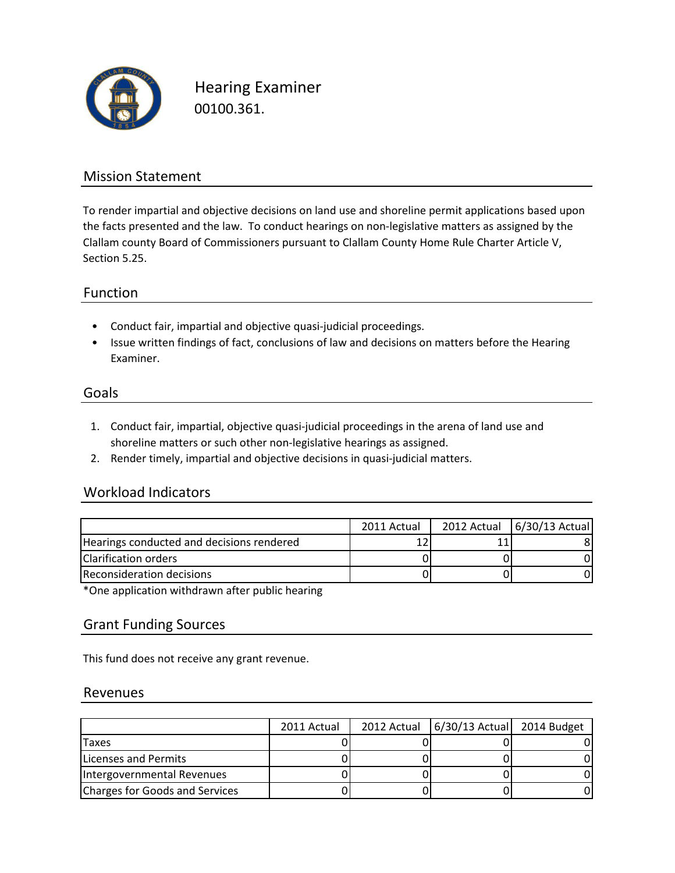

Hearing Examiner 00100.361.

## Mission Statement

To render impartial and objective decisions on land use and shoreline permit applications based upon the facts presented and the law. To conduct hearings on non-legislative matters as assigned by the Clallam county Board of Commissioners pursuant to Clallam County Home Rule Charter Article V, Section 5.25.

### Function

- Conduct fair, impartial and objective quasi-judicial proceedings.
- Issue written findings of fact, conclusions of law and decisions on matters before the Hearing Examiner.

#### Goals

- 1. Conduct fair, impartial, objective quasi-judicial proceedings in the arena of land use and shoreline matters or such other non-legislative hearings as assigned.
- 2. Render timely, impartial and objective decisions in quasi-judicial matters.

## Workload Indicators

| 2011 Actual | 2012 Actual 6/30/13 Actual |
|-------------|----------------------------|
|             |                            |
|             |                            |
|             |                            |
|             |                            |

\*One application withdrawn after public hearing

#### Grant Funding Sources

This fund does not receive any grant revenue.

#### Revenues

|                                | 2011 Actual | 2012 Actual   6/30/13 Actual 2014 Budget |  |
|--------------------------------|-------------|------------------------------------------|--|
| <b>ITaxes</b>                  |             |                                          |  |
| Licenses and Permits           |             |                                          |  |
| Intergovernmental Revenues     |             |                                          |  |
| Charges for Goods and Services |             |                                          |  |